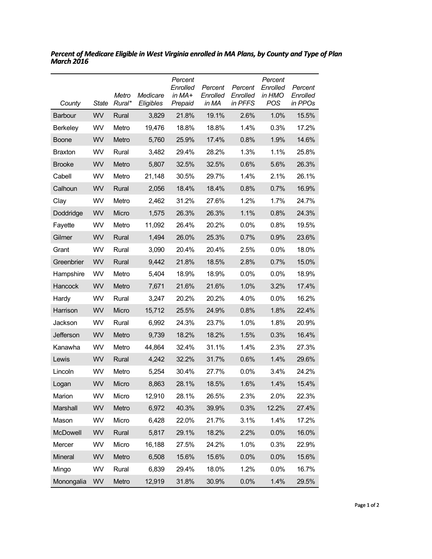| County         | State | Metro<br>Rural* | Medicare<br>Eligibles | Percent<br>Enrolled<br>in MA+<br>Prepaid | Percent<br>Enrolled<br>in MA | Percent<br>Enrolled<br>in PFFS | Percent<br>Enrolled<br>in HMO<br><b>POS</b> | Percent<br>Enrolled<br>in PPOs |
|----------------|-------|-----------------|-----------------------|------------------------------------------|------------------------------|--------------------------------|---------------------------------------------|--------------------------------|
| Barbour        | WV    | Rural           | 3,829                 | 21.8%                                    | 19.1%                        | 2.6%                           | 1.0%                                        | 15.5%                          |
| Berkeley       | WV    | Metro           | 19,476                | 18.8%                                    | 18.8%                        | 1.4%                           | 0.3%                                        | 17.2%                          |
| <b>Boone</b>   | WV    | Metro           | 5,760                 | 25.9%                                    | 17.4%                        | 0.8%                           | 1.9%                                        | 14.6%                          |
| <b>Braxton</b> | WV    | Rural           | 3,482                 | 29.4%                                    | 28.2%                        | 1.3%                           | 1.1%                                        | 25.8%                          |
| <b>Brooke</b>  | WV    | Metro           | 5,807                 | 32.5%                                    | 32.5%                        | 0.6%                           | 5.6%                                        | 26.3%                          |
| Cabell         | WV    | Metro           | 21,148                | 30.5%                                    | 29.7%                        | 1.4%                           | 2.1%                                        | 26.1%                          |
| Calhoun        | WV    | Rural           | 2,056                 | 18.4%                                    | 18.4%                        | 0.8%                           | 0.7%                                        | 16.9%                          |
| Clay           | WV    | Metro           | 2,462                 | 31.2%                                    | 27.6%                        | 1.2%                           | 1.7%                                        | 24.7%                          |
| Doddridge      | WV    | Micro           | 1,575                 | 26.3%                                    | 26.3%                        | 1.1%                           | 0.8%                                        | 24.3%                          |
| Fayette        | WV    | Metro           | 11,092                | 26.4%                                    | 20.2%                        | 0.0%                           | 0.8%                                        | 19.5%                          |
| Gilmer         | WV    | Rural           | 1,494                 | 26.0%                                    | 25.3%                        | 0.7%                           | 0.9%                                        | 23.6%                          |
| Grant          | WV    | Rural           | 3,090                 | 20.4%                                    | 20.4%                        | 2.5%                           | 0.0%                                        | 18.0%                          |
| Greenbrier     | WV    | Rural           | 9,442                 | 21.8%                                    | 18.5%                        | 2.8%                           | 0.7%                                        | 15.0%                          |
| Hampshire      | WV    | Metro           | 5,404                 | 18.9%                                    | 18.9%                        | 0.0%                           | 0.0%                                        | 18.9%                          |
| Hancock        | WV    | Metro           | 7,671                 | 21.6%                                    | 21.6%                        | 1.0%                           | 3.2%                                        | 17.4%                          |
| Hardy          | WV    | Rural           | 3,247                 | 20.2%                                    | 20.2%                        | 4.0%                           | 0.0%                                        | 16.2%                          |
| Harrison       | WV    | Micro           | 15,712                | 25.5%                                    | 24.9%                        | 0.8%                           | 1.8%                                        | 22.4%                          |
| Jackson        | WV    | Rural           | 6,992                 | 24.3%                                    | 23.7%                        | 1.0%                           | 1.8%                                        | 20.9%                          |
| Jefferson      | WV    | Metro           | 9,739                 | 18.2%                                    | 18.2%                        | 1.5%                           | 0.3%                                        | 16.4%                          |
| Kanawha        | WV    | Metro           | 44,864                | 32.4%                                    | 31.1%                        | 1.4%                           | 2.3%                                        | 27.3%                          |
| Lewis          | WV    | Rural           | 4,242                 | 32.2%                                    | 31.7%                        | 0.6%                           | 1.4%                                        | 29.6%                          |
| Lincoln        | WV    | Metro           | 5,254                 | 30.4%                                    | 27.7%                        | 0.0%                           | 3.4%                                        | 24.2%                          |
| Logan          | WV    | Micro           | 8,863                 | 28.1%                                    | 18.5%                        | 1.6%                           | 1.4%                                        | 15.4%                          |
| Marion         | WV    | Micro           | 12,910                | 28.1%                                    | 26.5%                        | 2.3%                           | 2.0%                                        | 22.3%                          |
| Marshall       | WV    | Metro           | 6,972                 | 40.3%                                    | 39.9%                        | 0.3%                           | 12.2%                                       | 27.4%                          |
| Mason          | WV    | Micro           | 6,428                 | 22.0%                                    | 21.7%                        | 3.1%                           | 1.4%                                        | 17.2%                          |
| McDowell       | WV    | Rural           | 5,817                 | 29.1%                                    | 18.2%                        | 2.2%                           | 0.0%                                        | 16.0%                          |
| Mercer         | WV    | Micro           | 16,188                | 27.5%                                    | 24.2%                        | 1.0%                           | 0.3%                                        | 22.9%                          |
| Mineral        | WV    | Metro           | 6,508                 | 15.6%                                    | 15.6%                        | 0.0%                           | 0.0%                                        | 15.6%                          |
| Mingo          | WV    | Rural           | 6,839                 | 29.4%                                    | 18.0%                        | 1.2%                           | 0.0%                                        | 16.7%                          |
| Monongalia     | WV    | Metro           | 12,919                | 31.8%                                    | 30.9%                        | 0.0%                           | 1.4%                                        | 29.5%                          |

*Percent of Medicare Eligible in West Virginia enrolled in MA Plans, by County and Type of Plan March 2016*